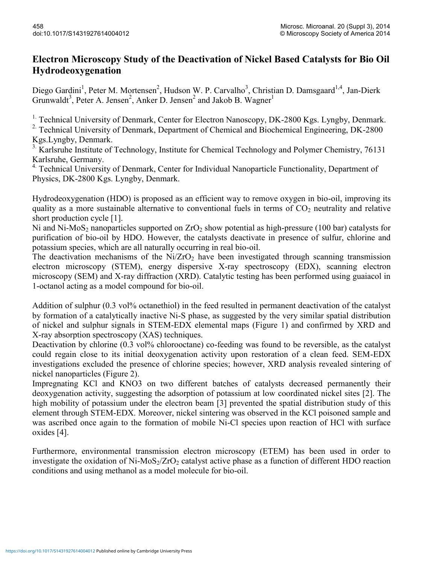## **Electron Microscopy Study of the Deactivation of Nickel Based Catalysts for Bio Oil Hydrodeoxygenation**

Diego Gardini<sup>1</sup>, Peter M. Mortensen<sup>2</sup>, Hudson W. P. Carvalho<sup>3</sup>, Christian D. Damsgaard<sup>1,4</sup>, Jan-Dierk Grunwaldt<sup>3</sup>, Peter A. Jensen<sup>2</sup>, Anker D. Jensen<sup>2</sup> and Jakob B. Wagner<sup>1</sup>

<sup>1.</sup> Technical University of Denmark, Center for Electron Nanoscopy, DK-2800 Kgs. Lyngby, Denmark.

<sup>2.</sup> Technical University of Denmark, Department of Chemical and Biochemical Engineering, DK-2800 Kgs.Lyngby, Denmark.

<sup>3.</sup> Karlsruhe Institute of Technology, Institute for Chemical Technology and Polymer Chemistry, 76131 Karlsruhe, Germany.

| <sup>4.</sup> Technical University of Denmark, Center for Individual Nanoparticle Functionality, Department of |  |
|----------------------------------------------------------------------------------------------------------------|--|
| Physics, DK-2800 Kgs. Lyngby, Denmark.                                                                         |  |

Hydrodeoxygenation (HDO) is proposed as an efficient way to remove oxygen in bio-oil, improving its quality as a more sustainable alternative to conventional fuels in terms of  $CO<sub>2</sub>$  neutrality and relative short production cycle [1].

Ni and Ni-MoS<sub>2</sub> nanoparticles supported on  $ZrO<sub>2</sub>$  show potential as high-pressure (100 bar) catalysts for purification of bio-oil by HDO. However, the catalysts deactivate in presence of sulfur, chlorine and potassium species, which are all naturally occurring in real bio-oil.

The deactivation mechanisms of the  $Ni/ZrO<sub>2</sub>$  have been investigated through scanning transmission electron microscopy (STEM), energy dispersive X-ray spectroscopy (EDX), scanning electron microscopy (SEM) and X-ray diffraction (XRD). Catalytic testing has been performed using guaiacol in 1-octanol acting as a model compound for bio-oil.

Addition of sulphur (0.3 vol% octanethiol) in the feed resulted in permanent deactivation of the catalyst by formation of a catalytically inactive Ni-S phase, as suggested by the very similar spatial distribution of nickel and sulphur signals in STEM-EDX elemental maps (Figure 1) and confirmed by XRD and X-ray absorption spectroscopy (XAS) techniques.

Deactivation by chlorine (0.3 vol% chlorooctane) co-feeding was found to be reversible, as the catalyst could regain close to its initial deoxygenation activity upon restoration of a clean feed. SEM-EDX investigations excluded the presence of chlorine species; however, XRD analysis revealed sintering of nickel nanoparticles (Figure 2).

Impregnating KCl and KNO3 on two different batches of catalysts decreased permanently their deoxygenation activity, suggesting the adsorption of potassium at low coordinated nickel sites [2]. The high mobility of potassium under the electron beam [3] prevented the spatial distribution study of this element through STEM-EDX. Moreover, nickel sintering was observed in the KCl poisoned sample and was ascribed once again to the formation of mobile Ni-Cl species upon reaction of HCl with surface oxides [4].

Furthermore, environmental transmission electron microscopy (ETEM) has been used in order to investigate the oxidation of Ni-MoS<sub>2</sub>/ZrO<sub>2</sub> catalyst active phase as a function of different HDO reaction conditions and using methanol as a model molecule for bio-oil.